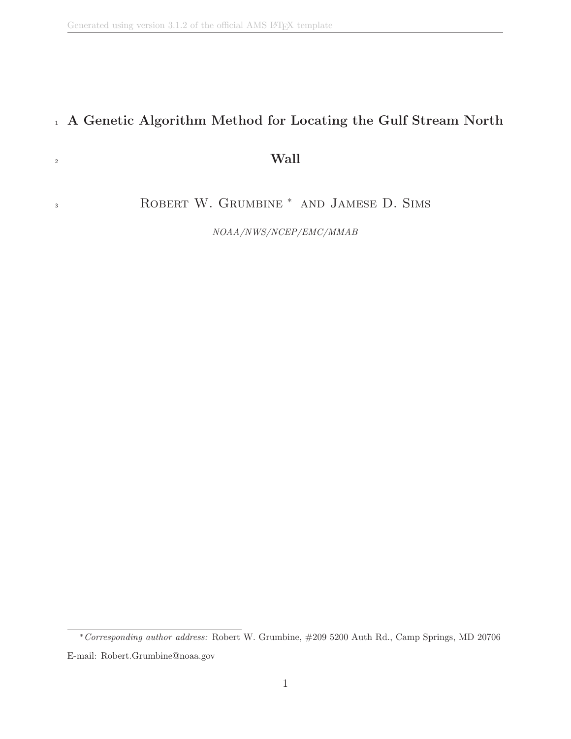3

#### <sup>1</sup> A Genetic Algorithm Method for Locating the Gulf Stream North

#### $\frac{1}{2}$  Wall

ROBERT W. GRUMBINE <sup>\*</sup> AND JAMESE D. SIMS

NOAA/NWS/NCEP/EMC/MMAB

<sup>∗</sup>Corresponding author address: Robert W. Grumbine, #209 5200 Auth Rd., Camp Springs, MD 20706 E-mail: Robert.Grumbine@noaa.gov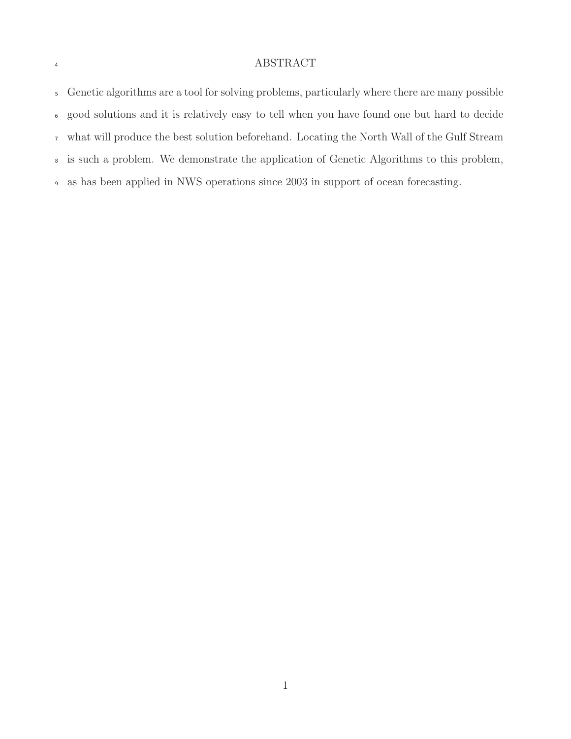#### ABSTRACT

 Genetic algorithms are a tool for solving problems, particularly where there are many possible good solutions and it is relatively easy to tell when you have found one but hard to decide what will produce the best solution beforehand. Locating the North Wall of the Gulf Stream is such a problem. We demonstrate the application of Genetic Algorithms to this problem, as has been applied in NWS operations since 2003 in support of ocean forecasting.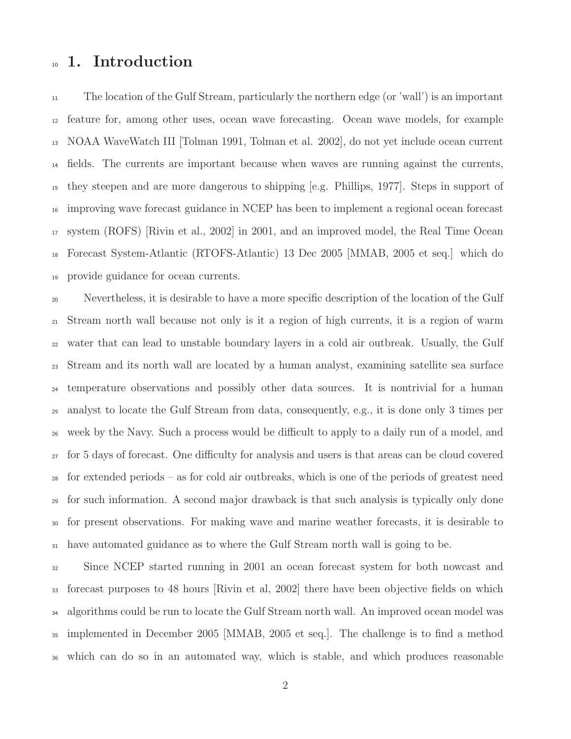#### 10 1. Introduction

 The location of the Gulf Stream, particularly the northern edge (or 'wall') is an important feature for, among other uses, ocean wave forecasting. Ocean wave models, for example NOAA WaveWatch III [Tolman 1991, Tolman et al. 2002], do not yet include ocean current fields. The currents are important because when waves are running against the currents, they steepen and are more dangerous to shipping [e.g. Phillips, 1977]. Steps in support of improving wave forecast guidance in NCEP has been to implement a regional ocean forecast system (ROFS) [Rivin et al., 2002] in 2001, and an improved model, the Real Time Ocean Forecast System-Atlantic (RTOFS-Atlantic) 13 Dec 2005 [MMAB, 2005 et seq.] which do provide guidance for ocean currents.

 Nevertheless, it is desirable to have a more specific description of the location of the Gulf Stream north wall because not only is it a region of high currents, it is a region of warm water that can lead to unstable boundary layers in a cold air outbreak. Usually, the Gulf Stream and its north wall are located by a human analyst, examining satellite sea surface temperature observations and possibly other data sources. It is nontrivial for a human analyst to locate the Gulf Stream from data, consequently, e.g., it is done only 3 times per week by the Navy. Such a process would be difficult to apply to a daily run of a model, and for 5 days of forecast. One difficulty for analysis and users is that areas can be cloud covered for extended periods – as for cold air outbreaks, which is one of the periods of greatest need for such information. A second major drawback is that such analysis is typically only done for present observations. For making wave and marine weather forecasts, it is desirable to have automated guidance as to where the Gulf Stream north wall is going to be.

 Since NCEP started running in 2001 an ocean forecast system for both nowcast and forecast purposes to 48 hours [Rivin et al, 2002] there have been objective fields on which <sup>34</sup> algorithms could be run to locate the Gulf Stream north wall. An improved ocean model was implemented in December 2005 [MMAB, 2005 et seq.]. The challenge is to find a method which can do so in an automated way, which is stable, and which produces reasonable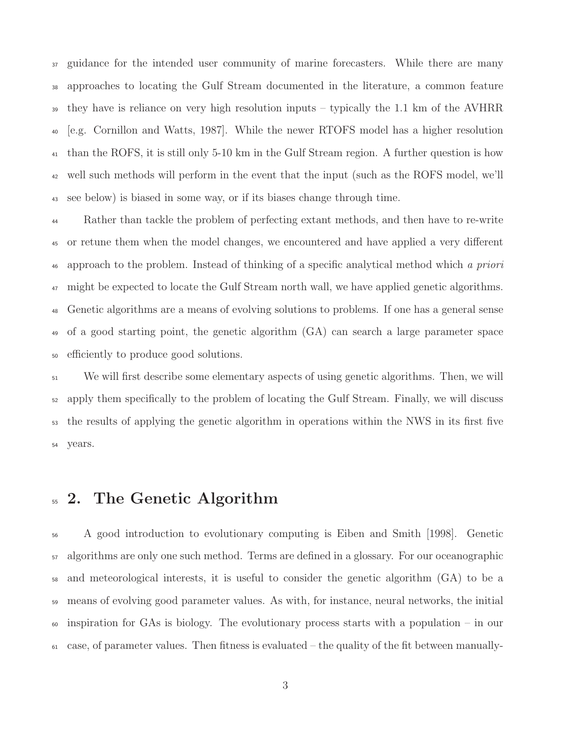<sup>37</sup> guidance for the intended user community of marine forecasters. While there are many approaches to locating the Gulf Stream documented in the literature, a common feature they have is reliance on very high resolution inputs – typically the 1.1 km of the AVHRR [e.g. Cornillon and Watts, 1987]. While the newer RTOFS model has a higher resolution than the ROFS, it is still only 5-10 km in the Gulf Stream region. A further question is how well such methods will perform in the event that the input (such as the ROFS model, we'll see below) is biased in some way, or if its biases change through time.

 Rather than tackle the problem of perfecting extant methods, and then have to re-write or retune them when the model changes, we encountered and have applied a very different <sup>46</sup> approach to the problem. Instead of thinking of a specific analytical method which a priori <sup>47</sup> might be expected to locate the Gulf Stream north wall, we have applied genetic algorithms. Genetic algorithms are a means of evolving solutions to problems. If one has a general sense of a good starting point, the genetic algorithm (GA) can search a large parameter space efficiently to produce good solutions.

 We will first describe some elementary aspects of using genetic algorithms. Then, we will apply them specifically to the problem of locating the Gulf Stream. Finally, we will discuss the results of applying the genetic algorithm in operations within the NWS in its first five years.

#### <sup>55</sup> 2. The Genetic Algorithm

 A good introduction to evolutionary computing is Eiben and Smith [1998]. Genetic algorithms are only one such method. Terms are defined in a glossary. For our oceanographic and meteorological interests, it is useful to consider the genetic algorithm (GA) to be a means of evolving good parameter values. As with, for instance, neural networks, the initial  $\frac{60}{100}$  inspiration for GAs is biology. The evolutionary process starts with a population – in our case, of parameter values. Then fitness is evaluated – the quality of the fit between manually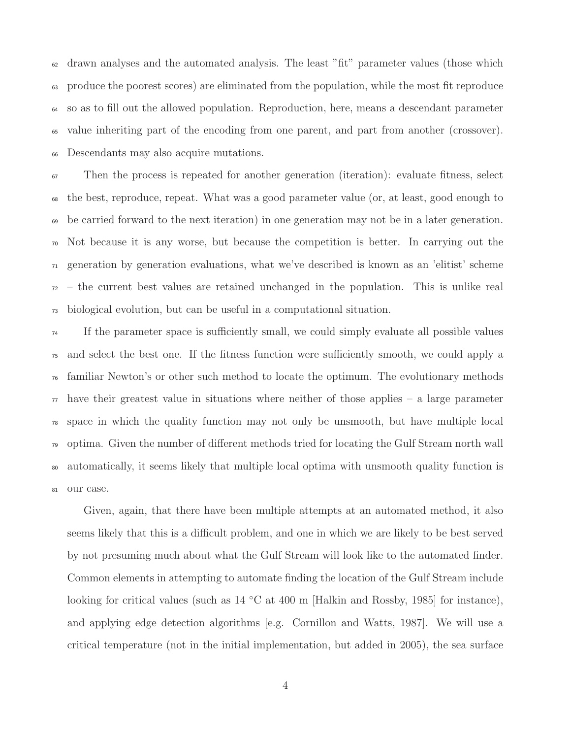drawn analyses and the automated analysis. The least "fit" parameter values (those which produce the poorest scores) are eliminated from the population, while the most fit reproduce so as to fill out the allowed population. Reproduction, here, means a descendant parameter value inheriting part of the encoding from one parent, and part from another (crossover). Descendants may also acquire mutations.

 Then the process is repeated for another generation (iteration): evaluate fitness, select the best, reproduce, repeat. What was a good parameter value (or, at least, good enough to be carried forward to the next iteration) in one generation may not be in a later generation. Not because it is any worse, but because the competition is better. In carrying out the generation by generation evaluations, what we've described is known as an 'elitist' scheme – the current best values are retained unchanged in the population. This is unlike real biological evolution, but can be useful in a computational situation.

 If the parameter space is sufficiently small, we could simply evaluate all possible values and select the best one. If the fitness function were sufficiently smooth, we could apply a familiar Newton's or other such method to locate the optimum. The evolutionary methods have their greatest value in situations where neither of those applies – a large parameter space in which the quality function may not only be unsmooth, but have multiple local optima. Given the number of different methods tried for locating the Gulf Stream north wall automatically, it seems likely that multiple local optima with unsmooth quality function is our case.

Given, again, that there have been multiple attempts at an automated method, it also seems likely that this is a difficult problem, and one in which we are likely to be best served by not presuming much about what the Gulf Stream will look like to the automated finder. Common elements in attempting to automate finding the location of the Gulf Stream include looking for critical values (such as 14 ◦C at 400 m [Halkin and Rossby, 1985] for instance), and applying edge detection algorithms [e.g. Cornillon and Watts, 1987]. We will use a critical temperature (not in the initial implementation, but added in 2005), the sea surface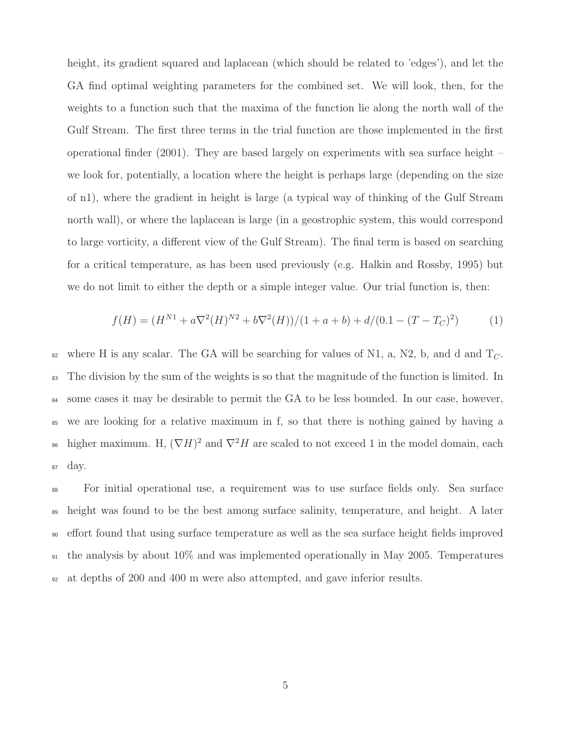height, its gradient squared and laplacean (which should be related to 'edges'), and let the GA find optimal weighting parameters for the combined set. We will look, then, for the weights to a function such that the maxima of the function lie along the north wall of the Gulf Stream. The first three terms in the trial function are those implemented in the first operational finder (2001). They are based largely on experiments with sea surface height – we look for, potentially, a location where the height is perhaps large (depending on the size of n1), where the gradient in height is large (a typical way of thinking of the Gulf Stream north wall), or where the laplacean is large (in a geostrophic system, this would correspond to large vorticity, a different view of the Gulf Stream). The final term is based on searching for a critical temperature, as has been used previously (e.g. Halkin and Rossby, 1995) but we do not limit to either the depth or a simple integer value. Our trial function is, then:

$$
f(H) = (H^{N1} + a\nabla^2(H)^{N2} + b\nabla^2(H))/(1 + a + b) + d/(0.1 - (T - T_C)^2)
$$
 (1)

<sup>82</sup> where H is any scalar. The GA will be searching for values of N1, a, N2, b, and d and  $T_C$ . <sup>83</sup> The division by the sum of the weights is so that the magnitude of the function is limited. In <sup>84</sup> some cases it may be desirable to permit the GA to be less bounded. In our case, however, <sup>85</sup> we are looking for a relative maximum in f, so that there is nothing gained by having a <sup>86</sup> higher maximum. H,  $(\nabla H)^2$  and  $\nabla^2 H$  are scaled to not exceed 1 in the model domain, each <sup>87</sup> day.

 For initial operational use, a requirement was to use surface fields only. Sea surface height was found to be the best among surface salinity, temperature, and height. A later effort found that using surface temperature as well as the sea surface height fields improved the analysis by about 10% and was implemented operationally in May 2005. Temperatures at depths of 200 and 400 m were also attempted, and gave inferior results.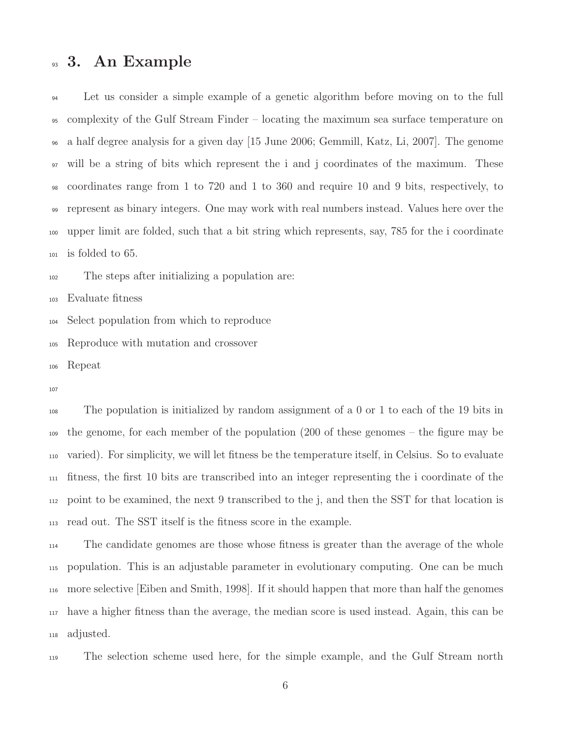#### <sup>93</sup> 3. An Example

 Let us consider a simple example of a genetic algorithm before moving on to the full complexity of the Gulf Stream Finder – locating the maximum sea surface temperature on a half degree analysis for a given day [15 June 2006; Gemmill, Katz, Li, 2007]. The genome will be a string of bits which represent the i and j coordinates of the maximum. These coordinates range from 1 to 720 and 1 to 360 and require 10 and 9 bits, respectively, to represent as binary integers. One may work with real numbers instead. Values here over the upper limit are folded, such that a bit string which represents, say, 785 for the i coordinate is folded to 65.

The steps after initializing a population are:

Evaluate fitness

Select population from which to reproduce

Reproduce with mutation and crossover

Repeat

 The population is initialized by random assignment of a 0 or 1 to each of the 19 bits in the genome, for each member of the population (200 of these genomes – the figure may be varied). For simplicity, we will let fitness be the temperature itself, in Celsius. So to evaluate fitness, the first 10 bits are transcribed into an integer representing the i coordinate of the point to be examined, the next 9 transcribed to the j, and then the SST for that location is read out. The SST itself is the fitness score in the example.

 The candidate genomes are those whose fitness is greater than the average of the whole population. This is an adjustable parameter in evolutionary computing. One can be much more selective [Eiben and Smith, 1998]. If it should happen that more than half the genomes have a higher fitness than the average, the median score is used instead. Again, this can be adjusted.

The selection scheme used here, for the simple example, and the Gulf Stream north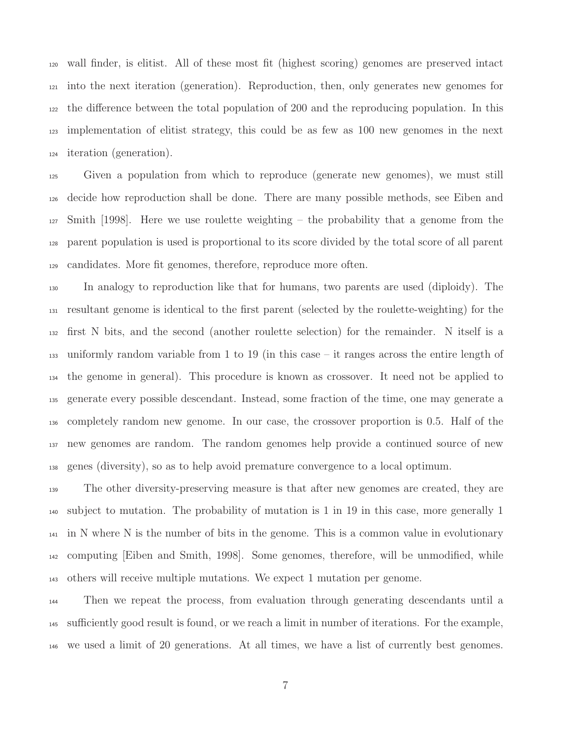wall finder, is elitist. All of these most fit (highest scoring) genomes are preserved intact into the next iteration (generation). Reproduction, then, only generates new genomes for the difference between the total population of 200 and the reproducing population. In this implementation of elitist strategy, this could be as few as 100 new genomes in the next iteration (generation).

 Given a population from which to reproduce (generate new genomes), we must still decide how reproduction shall be done. There are many possible methods, see Eiben and Smith [1998]. Here we use roulette weighting – the probability that a genome from the parent population is used is proportional to its score divided by the total score of all parent candidates. More fit genomes, therefore, reproduce more often.

 In analogy to reproduction like that for humans, two parents are used (diploidy). The resultant genome is identical to the first parent (selected by the roulette-weighting) for the first N bits, and the second (another roulette selection) for the remainder. N itself is a uniformly random variable from 1 to 19 (in this case – it ranges across the entire length of the genome in general). This procedure is known as crossover. It need not be applied to generate every possible descendant. Instead, some fraction of the time, one may generate a completely random new genome. In our case, the crossover proportion is 0.5. Half of the new genomes are random. The random genomes help provide a continued source of new genes (diversity), so as to help avoid premature convergence to a local optimum.

 The other diversity-preserving measure is that after new genomes are created, they are subject to mutation. The probability of mutation is 1 in 19 in this case, more generally 1 in N where N is the number of bits in the genome. This is a common value in evolutionary computing [Eiben and Smith, 1998]. Some genomes, therefore, will be unmodified, while others will receive multiple mutations. We expect 1 mutation per genome.

 Then we repeat the process, from evaluation through generating descendants until a sufficiently good result is found, or we reach a limit in number of iterations. For the example, we used a limit of 20 generations. At all times, we have a list of currently best genomes.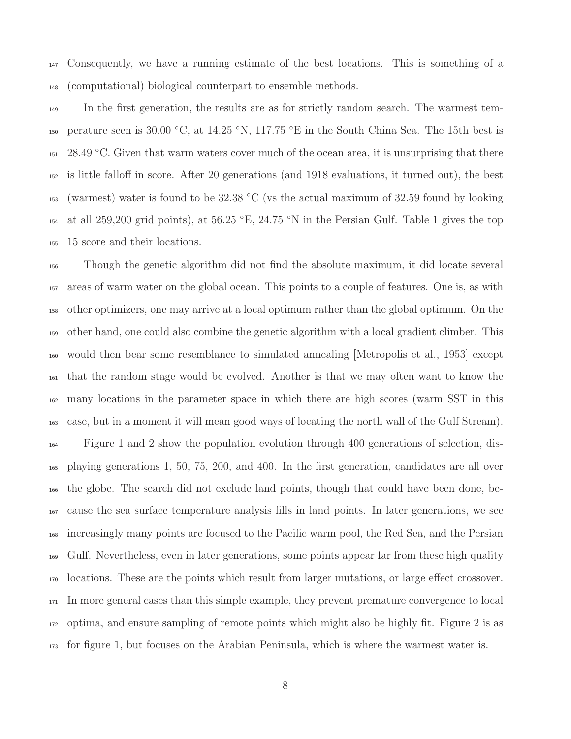Consequently, we have a running estimate of the best locations. This is something of a (computational) biological counterpart to ensemble methods.

 In the first generation, the results are as for strictly random search. The warmest tem-150 perature seen is 30.00 °C, at 14.25 °N, 117.75 °E in the South China Sea. The 15th best is  $151 \quad 28.49 \text{ °C}$ . Given that warm waters cover much of the ocean area, it is unsurprising that there is little falloff in score. After 20 generations (and 1918 evaluations, it turned out), the best  $_{153}$  (warmest) water is found to be 32.38 °C (vs the actual maximum of 32.59 found by looking <sup>154</sup> at all 259,200 grid points), at 56.25 °E, 24.75 °N in the Persian Gulf. Table 1 gives the top 15 score and their locations.

 Though the genetic algorithm did not find the absolute maximum, it did locate several areas of warm water on the global ocean. This points to a couple of features. One is, as with other optimizers, one may arrive at a local optimum rather than the global optimum. On the other hand, one could also combine the genetic algorithm with a local gradient climber. This would then bear some resemblance to simulated annealing [Metropolis et al., 1953] except that the random stage would be evolved. Another is that we may often want to know the many locations in the parameter space in which there are high scores (warm SST in this case, but in a moment it will mean good ways of locating the north wall of the Gulf Stream). Figure 1 and 2 show the population evolution through 400 generations of selection, dis- playing generations 1, 50, 75, 200, and 400. In the first generation, candidates are all over the globe. The search did not exclude land points, though that could have been done, be- cause the sea surface temperature analysis fills in land points. In later generations, we see increasingly many points are focused to the Pacific warm pool, the Red Sea, and the Persian Gulf. Nevertheless, even in later generations, some points appear far from these high quality locations. These are the points which result from larger mutations, or large effect crossover. In more general cases than this simple example, they prevent premature convergence to local optima, and ensure sampling of remote points which might also be highly fit. Figure 2 is as for figure 1, but focuses on the Arabian Peninsula, which is where the warmest water is.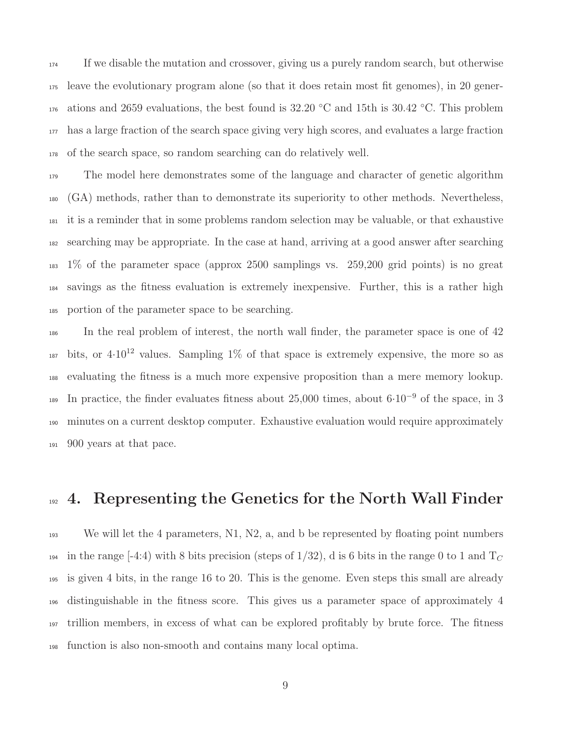If we disable the mutation and crossover, giving us a purely random search, but otherwise leave the evolutionary program alone (so that it does retain most fit genomes), in 20 gener- ations and 2659 evaluations, the best found is 32.20 °C and 15th is 30.42 °C. This problem has a large fraction of the search space giving very high scores, and evaluates a large fraction of the search space, so random searching can do relatively well.

<sub>179</sub> The model here demonstrates some of the language and character of genetic algorithm (GA) methods, rather than to demonstrate its superiority to other methods. Nevertheless, it is a reminder that in some problems random selection may be valuable, or that exhaustive searching may be appropriate. In the case at hand, arriving at a good answer after searching 1% of the parameter space (approx 2500 samplings vs. 259,200 grid points) is no great savings as the fitness evaluation is extremely inexpensive. Further, this is a rather high portion of the parameter space to be searching.

 In the real problem of interest, the north wall finder, the parameter space is one of 42 bits, or  $4.10^{12}$  values. Sampling 1% of that space is extremely expensive, the more so as evaluating the fitness is a much more expensive proposition than a mere memory lookup. In practice, the finder evaluates fitness about 25,000 times, about 6·10<sup>−</sup><sup>9</sup> of the space, in 3 minutes on a current desktop computer. Exhaustive evaluation would require approximately 900 years at that pace.

### 192 4. Representing the Genetics for the North Wall Finder

 We will let the 4 parameters, N1, N2, a, and b be represented by floating point numbers 194 in the range [-4:4) with 8 bits precision (steps of  $1/32$ ), d is 6 bits in the range 0 to 1 and  $T_C$  is given 4 bits, in the range 16 to 20. This is the genome. Even steps this small are already distinguishable in the fitness score. This gives us a parameter space of approximately 4 trillion members, in excess of what can be explored profitably by brute force. The fitness function is also non-smooth and contains many local optima.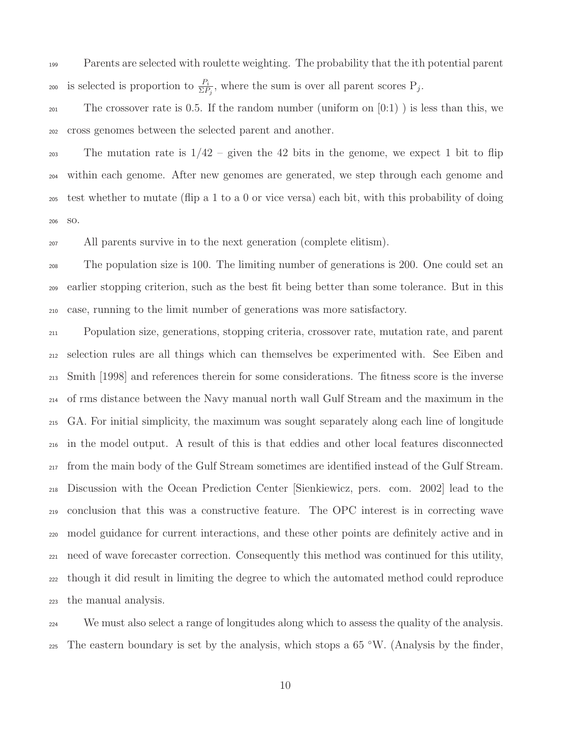Parents are selected with roulette weighting. The probability that the ith potential parent 200 is selected is proportion to  $\frac{P_i}{\Sigma P_j}$ , where the sum is over all parent scores  $P_j$ .

201 The crossover rate is 0.5. If the random number (uniform on  $[0:1)$ ) is less than this, we cross genomes between the selected parent and another.

203 The mutation rate is  $1/42$  – given the 42 bits in the genome, we expect 1 bit to flip within each genome. After new genomes are generated, we step through each genome and test whether to mutate (flip a 1 to a 0 or vice versa) each bit, with this probability of doing so.

All parents survive in to the next generation (complete elitism).

 The population size is 100. The limiting number of generations is 200. One could set an earlier stopping criterion, such as the best fit being better than some tolerance. But in this case, running to the limit number of generations was more satisfactory.

 Population size, generations, stopping criteria, crossover rate, mutation rate, and parent selection rules are all things which can themselves be experimented with. See Eiben and Smith [1998] and references therein for some considerations. The fitness score is the inverse of rms distance between the Navy manual north wall Gulf Stream and the maximum in the GA. For initial simplicity, the maximum was sought separately along each line of longitude in the model output. A result of this is that eddies and other local features disconnected from the main body of the Gulf Stream sometimes are identified instead of the Gulf Stream. Discussion with the Ocean Prediction Center [Sienkiewicz, pers. com. 2002] lead to the conclusion that this was a constructive feature. The OPC interest is in correcting wave model guidance for current interactions, and these other points are definitely active and in need of wave forecaster correction. Consequently this method was continued for this utility, though it did result in limiting the degree to which the automated method could reproduce the manual analysis.

 We must also select a range of longitudes along which to assess the quality of the analysis. The eastern boundary is set by the analysis, which stops a  $65^{\circ}$ W. (Analysis by the finder,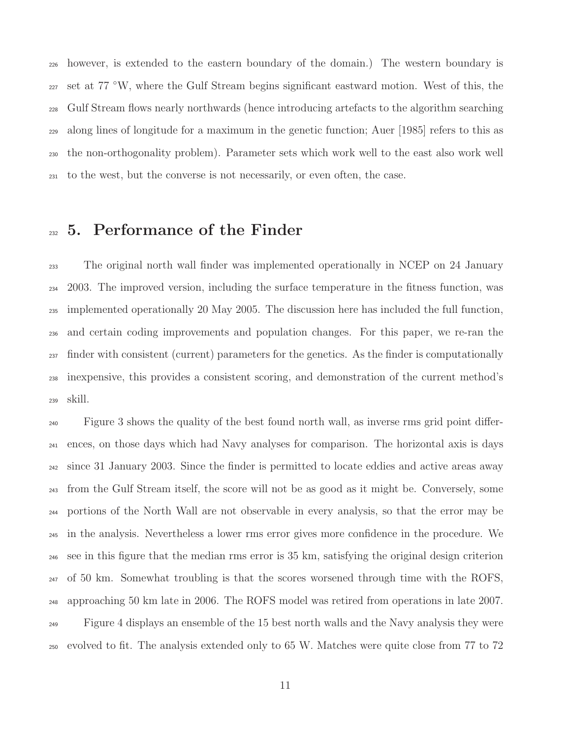however, is extended to the eastern boundary of the domain.) The western boundary is <sup>227</sup> set at 77 °W, where the Gulf Stream begins significant eastward motion. West of this, the Gulf Stream flows nearly northwards (hence introducing artefacts to the algorithm searching along lines of longitude for a maximum in the genetic function; Auer [1985] refers to this as the non-orthogonality problem). Parameter sets which work well to the east also work well to the west, but the converse is not necessarily, or even often, the case.

#### 5. Performance of the Finder

 The original north wall finder was implemented operationally in NCEP on 24 January 2003. The improved version, including the surface temperature in the fitness function, was implemented operationally 20 May 2005. The discussion here has included the full function, and certain coding improvements and population changes. For this paper, we re-ran the <sup>237</sup> finder with consistent (current) parameters for the genetics. As the finder is computationally inexpensive, this provides a consistent scoring, and demonstration of the current method's skill.

 Figure 3 shows the quality of the best found north wall, as inverse rms grid point differ- ences, on those days which had Navy analyses for comparison. The horizontal axis is days since 31 January 2003. Since the finder is permitted to locate eddies and active areas away from the Gulf Stream itself, the score will not be as good as it might be. Conversely, some portions of the North Wall are not observable in every analysis, so that the error may be in the analysis. Nevertheless a lower rms error gives more confidence in the procedure. We see in this figure that the median rms error is 35 km, satisfying the original design criterion  $_{247}$  of 50 km. Somewhat troubling is that the scores worsened through time with the ROFS, approaching 50 km late in 2006. The ROFS model was retired from operations in late 2007. Figure 4 displays an ensemble of the 15 best north walls and the Navy analysis they were evolved to fit. The analysis extended only to 65 W. Matches were quite close from 77 to 72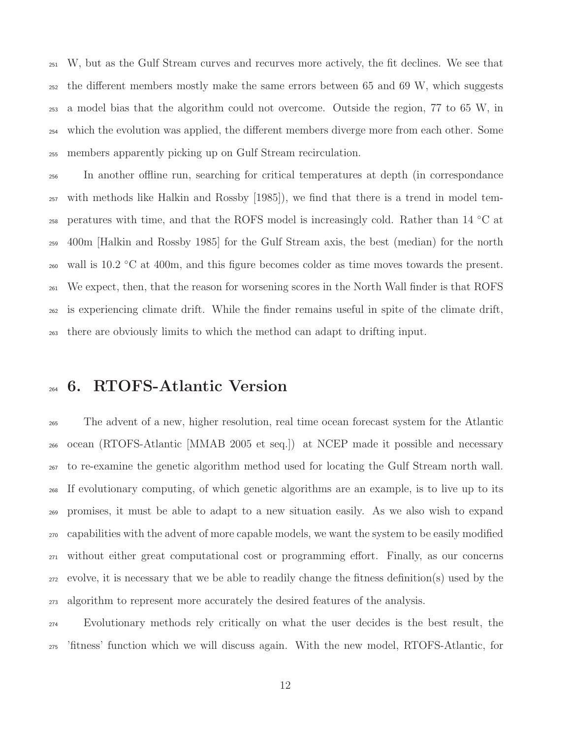W, but as the Gulf Stream curves and recurves more actively, the fit declines. We see that the different members mostly make the same errors between 65 and 69 W, which suggests a model bias that the algorithm could not overcome. Outside the region, 77 to 65 W, in which the evolution was applied, the different members diverge more from each other. Some members apparently picking up on Gulf Stream recirculation.

 In another offline run, searching for critical temperatures at depth (in correspondance with methods like Halkin and Rossby [1985]), we find that there is a trend in model tem- $_{258}$  peratures with time, and that the ROFS model is increasingly cold. Rather than 14 °C at 400m [Halkin and Rossby 1985] for the Gulf Stream axis, the best (median) for the north  $_{260}$  wall is 10.2 °C at 400m, and this figure becomes colder as time moves towards the present. We expect, then, that the reason for worsening scores in the North Wall finder is that ROFS is experiencing climate drift. While the finder remains useful in spite of the climate drift, there are obviously limits to which the method can adapt to drifting input.

#### 6. RTOFS-Atlantic Version

 The advent of a new, higher resolution, real time ocean forecast system for the Atlantic ocean (RTOFS-Atlantic [MMAB 2005 et seq.]) at NCEP made it possible and necessary to re-examine the genetic algorithm method used for locating the Gulf Stream north wall. If evolutionary computing, of which genetic algorithms are an example, is to live up to its promises, it must be able to adapt to a new situation easily. As we also wish to expand capabilities with the advent of more capable models, we want the system to be easily modified without either great computational cost or programming effort. Finally, as our concerns evolve, it is necessary that we be able to readily change the fitness definition(s) used by the algorithm to represent more accurately the desired features of the analysis.

 Evolutionary methods rely critically on what the user decides is the best result, the 'fitness' function which we will discuss again. With the new model, RTOFS-Atlantic, for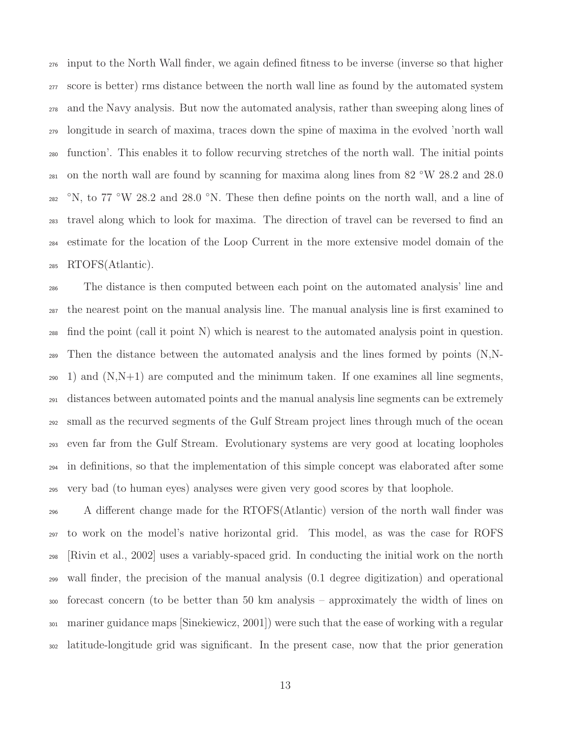input to the North Wall finder, we again defined fitness to be inverse (inverse so that higher score is better) rms distance between the north wall line as found by the automated system and the Navy analysis. But now the automated analysis, rather than sweeping along lines of longitude in search of maxima, traces down the spine of maxima in the evolved 'north wall function'. This enables it to follow recurving stretches of the north wall. The initial points  $_{281}$  on the north wall are found by scanning for maxima along lines from 82 °W 28.2 and 28.0 <sup>282</sup> <sup> $\degree$ </sup>N, to 77  $\degree$ W 28.2 and 28.0  $\degree$ N. These then define points on the north wall, and a line of travel along which to look for maxima. The direction of travel can be reversed to find an estimate for the location of the Loop Current in the more extensive model domain of the RTOFS(Atlantic).

 The distance is then computed between each point on the automated analysis' line and the nearest point on the manual analysis line. The manual analysis line is first examined to find the point (call it point N) which is nearest to the automated analysis point in question. Then the distance between the automated analysis and the lines formed by points (N,N- $_{290}$  1) and  $(N,N+1)$  are computed and the minimum taken. If one examines all line segments, distances between automated points and the manual analysis line segments can be extremely small as the recurved segments of the Gulf Stream project lines through much of the ocean even far from the Gulf Stream. Evolutionary systems are very good at locating loopholes in definitions, so that the implementation of this simple concept was elaborated after some very bad (to human eyes) analyses were given very good scores by that loophole.

 A different change made for the RTOFS(Atlantic) version of the north wall finder was to work on the model's native horizontal grid. This model, as was the case for ROFS [Rivin et al., 2002] uses a variably-spaced grid. In conducting the initial work on the north wall finder, the precision of the manual analysis (0.1 degree digitization) and operational forecast concern (to be better than 50 km analysis – approximately the width of lines on mariner guidance maps [Sinekiewicz, 2001]) were such that the ease of working with a regular latitude-longitude grid was significant. In the present case, now that the prior generation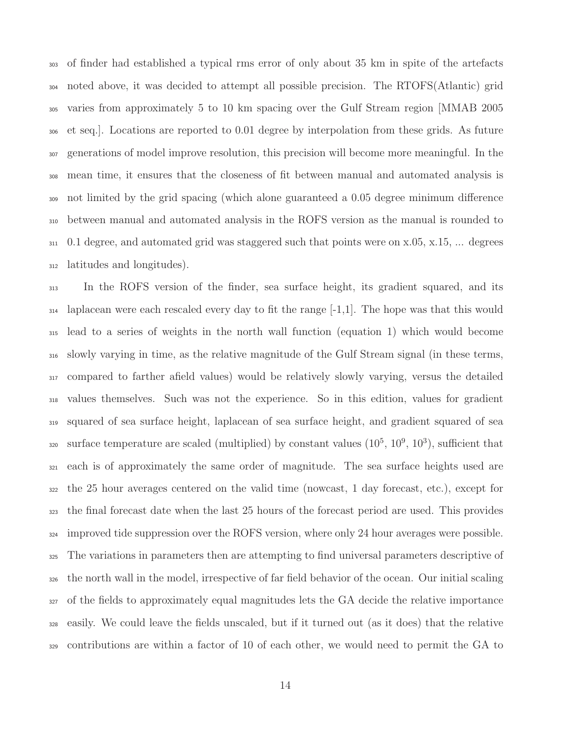of finder had established a typical rms error of only about 35 km in spite of the artefacts noted above, it was decided to attempt all possible precision. The RTOFS(Atlantic) grid varies from approximately 5 to 10 km spacing over the Gulf Stream region [MMAB 2005 et seq.]. Locations are reported to 0.01 degree by interpolation from these grids. As future generations of model improve resolution, this precision will become more meaningful. In the mean time, it ensures that the closeness of fit between manual and automated analysis is not limited by the grid spacing (which alone guaranteed a 0.05 degree minimum difference between manual and automated analysis in the ROFS version as the manual is rounded to 0.1 degree, and automated grid was staggered such that points were on x.05, x.15, ... degrees latitudes and longitudes).

 In the ROFS version of the finder, sea surface height, its gradient squared, and its  $_{314}$  laplacean were each rescaled every day to fit the range  $[-1,1]$ . The hope was that this would lead to a series of weights in the north wall function (equation 1) which would become slowly varying in time, as the relative magnitude of the Gulf Stream signal (in these terms, compared to farther afield values) would be relatively slowly varying, versus the detailed values themselves. Such was not the experience. So in this edition, values for gradient squared of sea surface height, laplacean of sea surface height, and gradient squared of sea surface temperature are scaled (multiplied) by constant values  $(10^5, 10^9, 10^3)$ , sufficient that each is of approximately the same order of magnitude. The sea surface heights used are the 25 hour averages centered on the valid time (nowcast, 1 day forecast, etc.), except for the final forecast date when the last 25 hours of the forecast period are used. This provides improved tide suppression over the ROFS version, where only 24 hour averages were possible. The variations in parameters then are attempting to find universal parameters descriptive of the north wall in the model, irrespective of far field behavior of the ocean. Our initial scaling of the fields to approximately equal magnitudes lets the GA decide the relative importance easily. We could leave the fields unscaled, but if it turned out (as it does) that the relative contributions are within a factor of 10 of each other, we would need to permit the GA to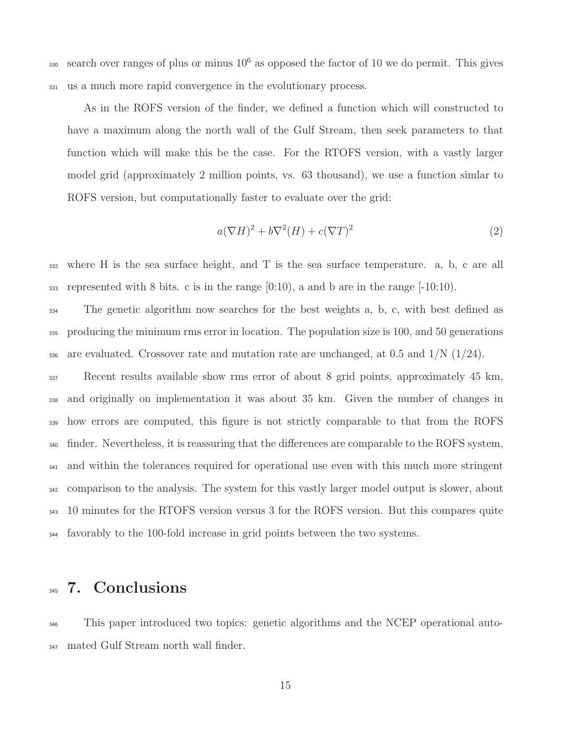sso search over ranges of plus or minus  $10^6$  as opposed the factor of 10 we do permit. This gives <sup>331</sup> us a much more rapid convergence in the evolutionary process.

As in the ROFS version of the finder, we defined a function which will constructed to have a maximum along the north wall of the Gulf Stream, then seek parameters to that function which will make this be the case. For the RTOFS version, with a vastly larger model grid (approximately 2 million points, vs. 63 thousand), we use a function simlar to ROFS version, but computationally faster to evaluate over the grid:

$$
a(\nabla H)^2 + b\nabla^2(H) + c(\nabla T)^2
$$
\n(2)

<sup>332</sup> where H is the sea surface height, and T is the sea surface temperature. a, b, c are all 333 represented with 8 bits. c is in the range  $[0:10)$ , a and b are in the range  $[-10:10)$ .

<sup>334</sup> The genetic algorithm now searches for the best weights a, b, c, with best defined as <sup>335</sup> producing the minimum rms error in location. The population size is 100, and 50 generations 336 are evaluated. Crossover rate and mutation rate are unchanged, at 0.5 and  $1/N$  (1/24).

 Recent results available show rms error of about 8 grid points, approximately 45 km, and originally on implementation it was about 35 km. Given the number of changes in how errors are computed, this figure is not strictly comparable to that from the ROFS <sup>340</sup> finder. Nevertheless, it is reassuring that the differences are comparable to the ROFS system, and within the tolerances required for operational use even with this much more stringent comparison to the analysis. The system for this vastly larger model output is slower, about 10 minutes for the RTOFS version versus 3 for the ROFS version. But this compares quite favorably to the 100-fold increase in grid points between the two systems.

#### 345 7. Conclusions

<sup>346</sup> This paper introduced two topics: genetic algorithms and the NCEP operational auto-<sup>347</sup> mated Gulf Stream north wall finder.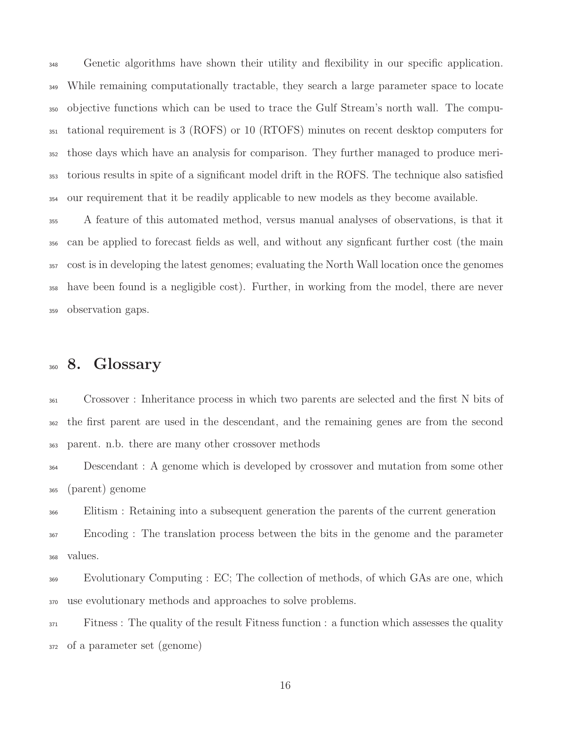Genetic algorithms have shown their utility and flexibility in our specific application. While remaining computationally tractable, they search a large parameter space to locate objective functions which can be used to trace the Gulf Stream's north wall. The compu- tational requirement is 3 (ROFS) or 10 (RTOFS) minutes on recent desktop computers for those days which have an analysis for comparison. They further managed to produce meri- torious results in spite of a significant model drift in the ROFS. The technique also satisfied our requirement that it be readily applicable to new models as they become available.

 A feature of this automated method, versus manual analyses of observations, is that it can be applied to forecast fields as well, and without any signficant further cost (the main cost is in developing the latest genomes; evaluating the North Wall location once the genomes have been found is a negligible cost). Further, in working from the model, there are never observation gaps.

#### 8. Glossary

 Crossover : Inheritance process in which two parents are selected and the first N bits of the first parent are used in the descendant, and the remaining genes are from the second parent. n.b. there are many other crossover methods

 Descendant : A genome which is developed by crossover and mutation from some other (parent) genome

 Elitism : Retaining into a subsequent generation the parents of the current generation Encoding : The translation process between the bits in the genome and the parameter values.

 Evolutionary Computing : EC; The collection of methods, of which GAs are one, which use evolutionary methods and approaches to solve problems.

<sup>371</sup> Fitness: The quality of the result Fitness function : a function which assesses the quality of a parameter set (genome)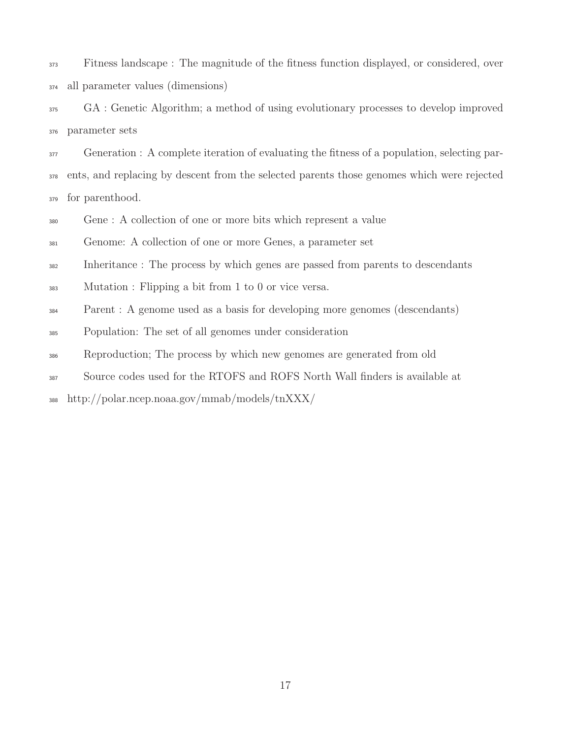Fitness landscape : The magnitude of the fitness function displayed, or considered, over all parameter values (dimensions)

 GA : Genetic Algorithm; a method of using evolutionary processes to develop improved parameter sets

 Generation : A complete iteration of evaluating the fitness of a population, selecting par- ents, and replacing by descent from the selected parents those genomes which were rejected for parenthood.

Gene : A collection of one or more bits which represent a value

Genome: A collection of one or more Genes, a parameter set

<sup>382</sup> Inheritance : The process by which genes are passed from parents to descendants

Mutation : Flipping a bit from 1 to 0 or vice versa.

Parent : A genome used as a basis for developing more genomes (descendants)

Population: The set of all genomes under consideration

Reproduction; The process by which new genomes are generated from old

Source codes used for the RTOFS and ROFS North Wall finders is available at

http://polar.ncep.noaa.gov/mmab/models/tnXXX/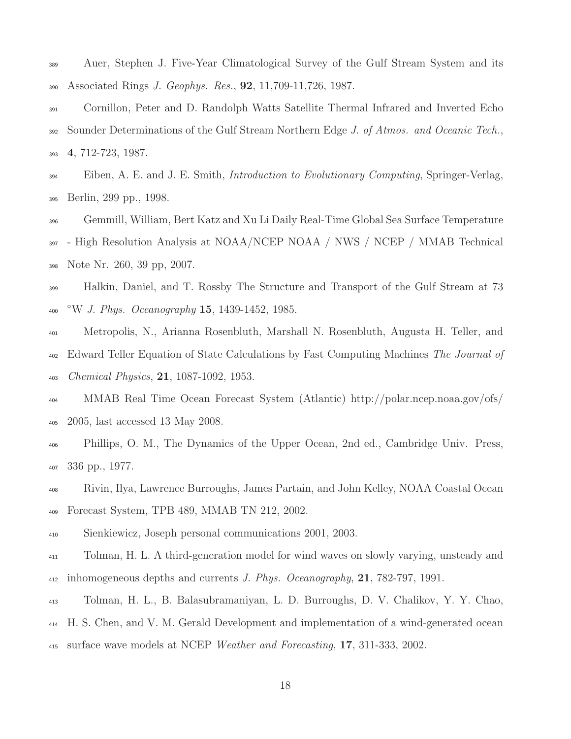- Auer, Stephen J. Five-Year Climatological Survey of the Gulf Stream System and its Associated Rings J. Geophys. Res., 92, 11,709-11,726, 1987.
- Cornillon, Peter and D. Randolph Watts Satellite Thermal Infrared and Inverted Echo 392 Sounder Determinations of the Gulf Stream Northern Edge J. of Atmos. and Oceanic Tech., 4, 712-723, 1987.
- $\text{Eiben}, \text{A}$ . E. and J. E. Smith, *Introduction to Evolutionary Computing*, Springer-Verlag, Berlin, 299 pp., 1998.
- Gemmill, William, Bert Katz and Xu Li Daily Real-Time Global Sea Surface Temperature - High Resolution Analysis at NOAA/NCEP NOAA / NWS / NCEP / MMAB Technical Note Nr. 260, 39 pp, 2007.
- Halkin, Daniel, and T. Rossby The Structure and Transport of the Gulf Stream at 73  $\rm ^{\circ}W$  J. Phys. Oceanography 15, 1439-1452, 1985.
- Metropolis, N., Arianna Rosenbluth, Marshall N. Rosenbluth, Augusta H. Teller, and <sup>402</sup> Edward Teller Equation of State Calculations by Fast Computing Machines The Journal of Chemical Physics, 21, 1087-1092, 1953.
- MMAB Real Time Ocean Forecast System (Atlantic) http://polar.ncep.noaa.gov/ofs/ 2005, last accessed 13 May 2008.
- Phillips, O. M., The Dynamics of the Upper Ocean, 2nd ed., Cambridge Univ. Press, 336 pp., 1977.
- Rivin, Ilya, Lawrence Burroughs, James Partain, and John Kelley, NOAA Coastal Ocean Forecast System, TPB 489, MMAB TN 212, 2002.
- Sienkiewicz, Joseph personal communications 2001, 2003.
- Tolman, H. L. A third-generation model for wind waves on slowly varying, unsteady and 412 inhomogeneous depths and currents J. Phys. Oceanography, , 782-797, 1991.
- Tolman, H. L., B. Balasubramaniyan, L. D. Burroughs, D. V. Chalikov, Y. Y. Chao, H. S. Chen, and V. M. Gerald Development and implementation of a wind-generated ocean surface wave models at NCEP Weather and Forecasting, 17, 311-333, 2002.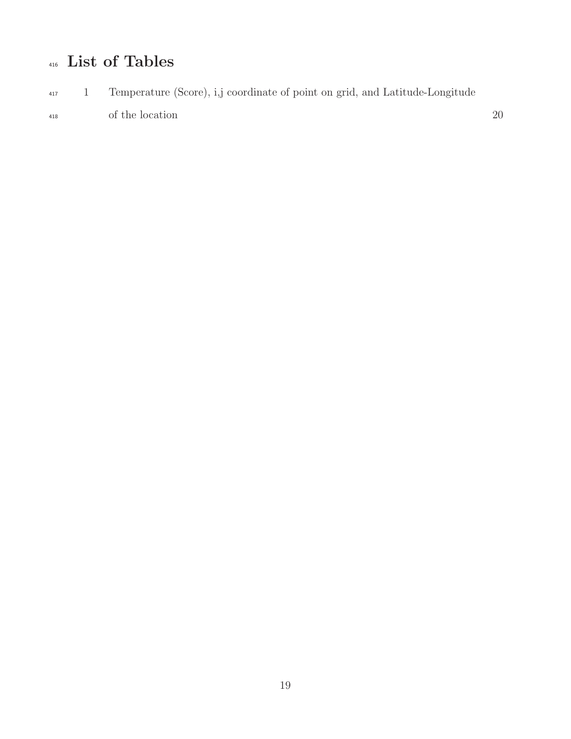## 416 List of Tables

<sup>417</sup> 1 Temperature (Score), i,j coordinate of point on grid, and Latitude-Longitude <sup>418</sup> of the location 20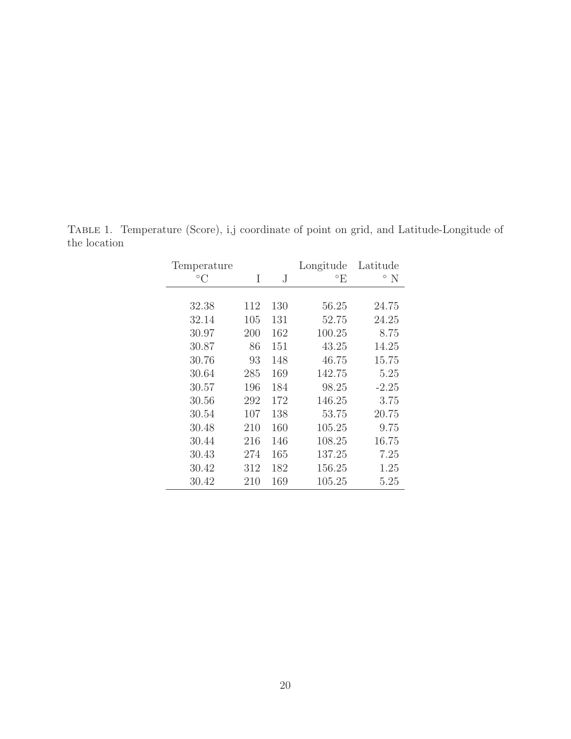| Temperature  |     |     | Longitude            | Latitude                  |
|--------------|-----|-----|----------------------|---------------------------|
| $^{\circ}$ C | Ι   | J   | $\mathrm{^{\circ}E}$ | $\mathcal{O} \setminus N$ |
|              |     |     |                      |                           |
| 32.38        | 112 | 130 | 56.25                | 24.75                     |
| 32.14        | 105 | 131 | 52.75                | 24.25                     |
| 30.97        | 200 | 162 | 100.25               | 8.75                      |
| 30.87        | 86  | 151 | 43.25                | 14.25                     |
| 30.76        | 93  | 148 | 46.75                | 15.75                     |
| 30.64        | 285 | 169 | 142.75               | 5.25                      |
| 30.57        | 196 | 184 | 98.25                | $-2.25$                   |
| 30.56        | 292 | 172 | 146.25               | 3.75                      |
| 30.54        | 107 | 138 | 53.75                | 20.75                     |
| 30.48        | 210 | 160 | 105.25               | 9.75                      |
| 30.44        | 216 | 146 | 108.25               | 16.75                     |
| 30.43        | 274 | 165 | 137.25               | 7.25                      |
| 30.42        | 312 | 182 | 156.25               | 1.25                      |
| 30.42        | 210 | 169 | 105.25               | 5.25                      |

Table 1. Temperature (Score), i,j coordinate of point on grid, and Latitude-Longitude of the location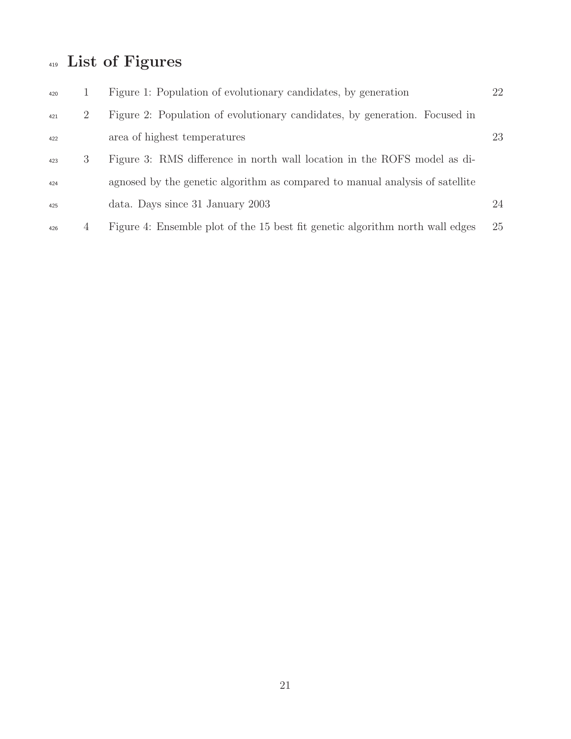# List of Figures

| 420 |   | Figure 1: Population of evolutionary candidates, by generation                | 22 |
|-----|---|-------------------------------------------------------------------------------|----|
| 421 | 2 | Figure 2: Population of evolutionary candidates, by generation. Focused in    |    |
| 422 |   | area of highest temperatures                                                  | 23 |
| 423 | 3 | Figure 3: RMS difference in north wall location in the ROFS model as di-      |    |
| 424 |   | agnosed by the genetic algorithm as compared to manual analysis of satellite  |    |
| 425 |   | data. Days since 31 January 2003                                              | 24 |
| 426 | 4 | Figure 4: Ensemble plot of the 15 best fit genetic algorithm north wall edges | 25 |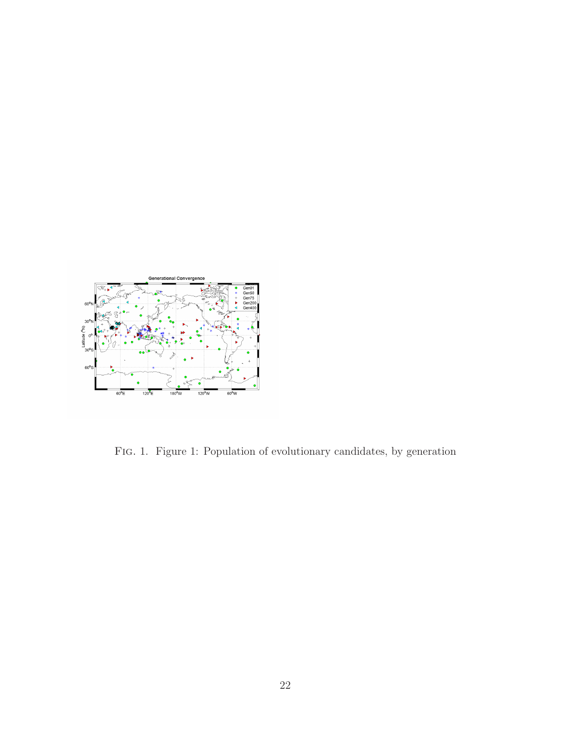

Fig. 1. Figure 1: Population of evolutionary candidates, by generation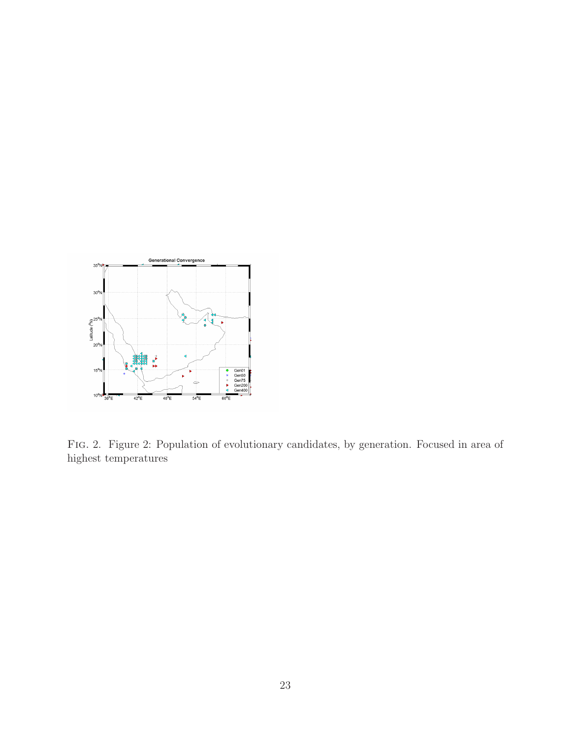

Fig. 2. Figure 2: Population of evolutionary candidates, by generation. Focused in area of highest temperatures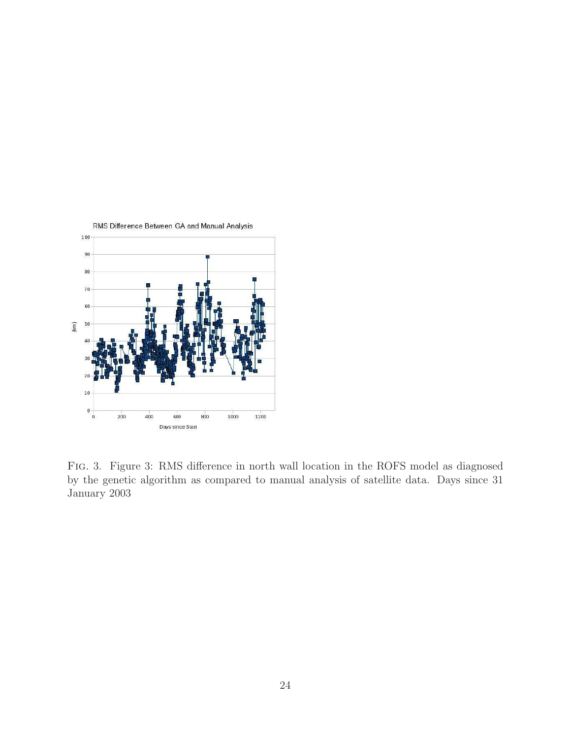

Fig. 3. Figure 3: RMS difference in north wall location in the ROFS model as diagnosed by the genetic algorithm as compared to manual analysis of satellite data. Days since 31 January 2003